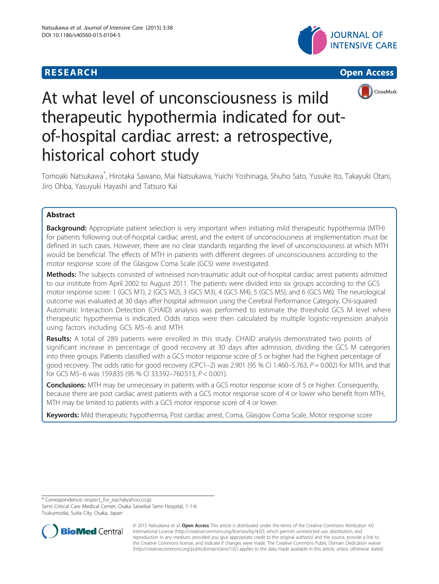## **RESEARCH CHINESE ARCH CHINESE ARCH CHINESE ARCH <b>CHINESE ARCH**







# At what level of unconsciousness is mild therapeutic hypothermia indicated for outof-hospital cardiac arrest: a retrospective, historical cohort study

Tomoaki Natsukawa\* , Hirotaka Sawano, Mai Natsukawa, Yuichi Yoshinaga, Shuho Sato, Yusuke Ito, Takayuki Otani, Jiro Ohba, Yasuyuki Hayashi and Tatsuro Kai

## Abstract

Background: Appropriate patient selection is very important when initiating mild therapeutic hypothermia (MTH) for patients following out-of-hospital cardiac arrest, and the extent of unconsciousness at implementation must be defined in such cases. However, there are no clear standards regarding the level of unconsciousness at which MTH would be beneficial. The effects of MTH in patients with different degrees of unconsciousness according to the motor response score of the Glasgow Coma Scale (GCS) were investigated.

Methods: The subjects consisted of witnessed non-traumatic adult out-of-hospital cardiac arrest patients admitted to our institute from April 2002 to August 2011. The patients were divided into six groups according to the GCS motor response score: 1 (GCS M1), 2 (GCS M2), 3 (GCS M3), 4 (GCS M4), 5 (GCS M5), and 6 (GCS M6). The neurological outcome was evaluated at 30 days after hospital admission using the Cerebral Performance Category. Chi-squared Automatic Interaction Detection (CHAID) analysis was performed to estimate the threshold GCS M level where therapeutic hypothermia is indicated. Odds ratios were then calculated by multiple logistic-regression analysis using factors including GCS M5–6 and MTH.

Results: A total of 289 patients were enrolled in this study. CHAID analysis demonstrated two points of significant increase in percentage of good recovery at 30 days after admission, dividing the GCS M categories into three groups. Patients classified with a GCS motor response score of 5 or higher had the highest percentage of good recovery. The odds ratio for good recovery (CPC1–2) was 2.901 (95 % CI 1.460–5.763,  $P = 0.002$ ) for MTH, and that for GCS M5–6 was 159.835 (95 % CI 33.592–760.513, P < 0.001).

**Conclusions:** MTH may be unnecessary in patients with a GCS motor response score of 5 or higher. Consequently, because there are post cardiac arrest patients with a GCS motor response score of 4 or lower who benefit from MTH, MTH may be limited to patients with a GCS motor response score of 4 or lower.

Keywords: Mild therapeutic hypothermia, Post cardiac arrest, Coma, Glasgow Coma Scale, Motor response score

\* Correspondence: [respect\\_for\\_each@yahoo.co.jp](mailto:respect_for_each@yahoo.co.jp)

Senri Critical Care Medical Center, Osaka Saiseikai Senri Hospital, 1-1-6 Tsukumodai, Suita City, Osaka, Japan



© 2015 Natsukawa et al. Open Access This article is distributed under the terms of the Creative Commons Attribution 4.0 International License [\(http://creativecommons.org/licenses/by/4.0/](http://creativecommons.org/licenses/by/4.0/)), which permits unrestricted use, distribution, and reproduction in any medium, provided you give appropriate credit to the original author(s) and the source, provide a link to the Creative Commons license, and indicate if changes were made. The Creative Commons Public Domain Dedication waiver [\(http://creativecommons.org/publicdomain/zero/1.0/](http://creativecommons.org/publicdomain/zero/1.0/)) applies to the data made available in this article, unless otherwise stated.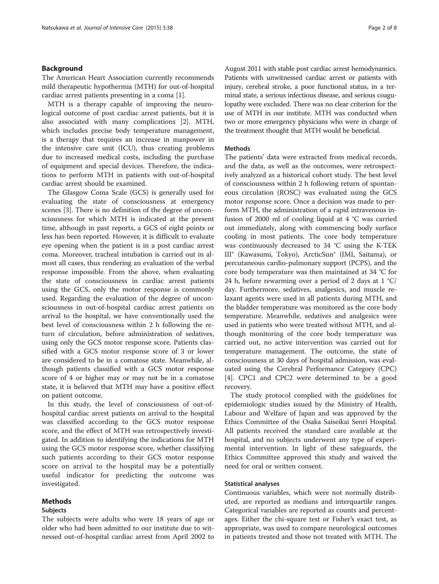#### Background

The American Heart Association currently recommends mild therapeutic hypothermia (MTH) for out-of-hospital cardiac arrest patients presenting in a coma [\[1\]](#page-6-0).

MTH is a therapy capable of improving the neurological outcome of post cardiac arrest patients, but it is also associated with many complications [\[2](#page-6-0)]. MTH, which includes precise body temperature management, is a therapy that requires an increase in manpower in the intensive care unit (ICU), thus creating problems due to increased medical costs, including the purchase of equipment and special devices. Therefore, the indications to perform MTH in patients with out-of-hospital cardiac arrest should be examined.

The Glasgow Coma Scale (GCS) is generally used for evaluating the state of consciousness at emergency scenes [[3\]](#page-6-0). There is no definition of the degree of unconsciousness for which MTH is indicated at the present time, although in past reports, a GCS of eight points or less has been reported. However, it is difficult to evaluate eye opening when the patient is in a post cardiac arrest coma. Moreover, tracheal intubation is carried out in almost all cases, thus rendering an evaluation of the verbal response impossible. From the above, when evaluating the state of consciousness in cardiac arrest patients using the GCS, only the motor response is commonly used. Regarding the evaluation of the degree of unconsciousness in out-of-hospital cardiac arrest patients on arrival to the hospital, we have conventionally used the best level of consciousness within 2 h following the return of circulation, before administration of sedatives, using only the GCS motor response score. Patients classified with a GCS motor response score of 3 or lower are considered to be in a comatose state. Meanwhile, although patients classified with a GCS motor response score of 4 or higher may or may not be in a comatose state, it is believed that MTH may have a positive effect on patient outcome.

In this study, the level of consciousness of out-ofhospital cardiac arrest patients on arrival to the hospital was classified according to the GCS motor response score, and the effect of MTH was retrospectively investigated. In addition to identifying the indications for MTH using the GCS motor response score, whether classifying such patients according to their GCS motor response score on arrival to the hospital may be a potentially useful indicator for predicting the outcome was investigated.

#### Methods

#### Subjects

The subjects were adults who were 18 years of age or older who had been admitted to our institute due to witnessed out-of-hospital cardiac arrest from April 2002 to

August 2011 with stable post cardiac arrest hemodynamics. Patients with unwitnessed cardiac arrest or patients with injury, cerebral stroke, a poor functional status, in a terminal state, a serious infectious disease, and serious coagulopathy were excluded. There was no clear criterion for the use of MTH in our institute. MTH was conducted when two or more emergency physicians who were in charge of the treatment thought that MTH would be beneficial.

## Methods

The patients' data were extracted from medical records, and the data, as well as the outcomes, were retrospectively analyzed as a historical cohort study. The best level of consciousness within 2 h following return of spontaneous circulation (ROSC) was evaluated using the GCS motor response score. Once a decision was made to perform MTH, the administration of a rapid intravenous infusion of 2000 ml of cooling liquid at 4 °C was carried out immediately, along with commencing body surface cooling in most patients. The core body temperature was continuously decreased to 34 °C using the K-TEK III® (Kawasumi, Tokyo), ArcticSun® (IMI, Saitama), or percutaneous cardio-pulmonary support (PCPS), and the core body temperature was then maintained at 34 °C for 24 h, before rewarming over a period of 2 days at 1 °C/ day. Furthermore, sedatives, analgesics, and muscle relaxant agents were used in all patients during MTH, and the bladder temperature was monitored as the core body temperature. Meanwhile, sedatives and analgesics were used in patients who were treated without MTH, and although monitoring of the core body temperature was carried out, no active intervention was carried out for temperature management. The outcome, the state of consciousness at 30 days of hospital admission, was evaluated using the Cerebral Performance Category (CPC) [[4\]](#page-6-0). CPC1 and CPC2 were determined to be a good recovery.

The study protocol complied with the guidelines for epidemiologic studies issued by the Ministry of Health, Labour and Welfare of Japan and was approved by the Ethics Committee of the Osaka Saiseikai Senri Hospital. All patients received the standard care available at the hospital, and no subjects underwent any type of experimental intervention. In light of these safeguards, the Ethics Committee approved this study and waived the need for oral or written consent.

#### Statistical analyses

Continuous variables, which were not normally distributed, are reported as medians and interquartile ranges. Categorical variables are reported as counts and percentages. Either the chi-square test or Fisher's exact test, as appropriate, was used to compare neurological outcomes in patients treated and those not treated with MTH. The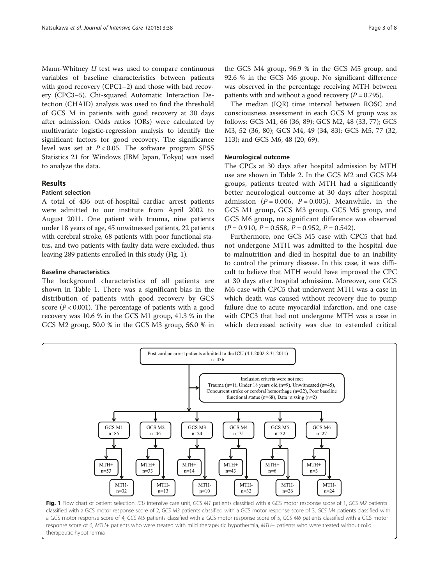Mann-Whitney  $U$  test was used to compare continuous variables of baseline characteristics between patients with good recovery (CPC1–2) and those with bad recovery (CPC3–5). Chi-squared Automatic Interaction Detection (CHAID) analysis was used to find the threshold of GCS M in patients with good recovery at 30 days after admission. Odds ratios (ORs) were calculated by multivariate logistic-regression analysis to identify the significant factors for good recovery. The significance level was set at  $P < 0.05$ . The software program SPSS Statistics 21 for Windows (IBM Japan, Tokyo) was used to analyze the data.

## Results

### Patient selection

A total of 436 out-of-hospital cardiac arrest patients were admitted to our institute from April 2002 to August 2011. One patient with trauma, nine patients under 18 years of age, 45 unwitnessed patients, 22 patients with cerebral stroke, 68 patients with poor functional status, and two patients with faulty data were excluded, thus leaving 289 patients enrolled in this study (Fig. 1).

#### Baseline characteristics

The background characteristics of all patients are shown in Table [1.](#page-3-0) There was a significant bias in the distribution of patients with good recovery by GCS score ( $P < 0.001$ ). The percentage of patients with a good recovery was 10.6 % in the GCS M1 group, 41.3 % in the GCS M2 group, 50.0 % in the GCS M3 group, 56.0 % in

the GCS M4 group, 96.9 % in the GCS M5 group, and 92.6 % in the GCS M6 group. No significant difference was observed in the percentage receiving MTH between patients with and without a good recovery ( $P = 0.795$ ).

The median (IQR) time interval between ROSC and consciousness assessment in each GCS M group was as follows: GCS M1, 66 (36, 89); GCS M2, 48 (33, 77); GCS M3, 52 (36, 80); GCS M4, 49 (34, 83); GCS M5, 77 (32, 113); and GCS M6, 48 (20, 69).

### Neurological outcome

The CPCs at 30 days after hospital admission by MTH use are shown in Table [2](#page-3-0). In the GCS M2 and GCS M4 groups, patients treated with MTH had a significantly better neurological outcome at 30 days after hospital admission ( $P = 0.006$ ,  $P = 0.005$ ). Meanwhile, in the GCS M1 group, GCS M3 group, GCS M5 group, and GCS M6 group, no significant difference was observed  $(P = 0.910, P = 0.558, P = 0.952, P = 0.542).$ 

Furthermore, one GCS M5 case with CPC5 that had not undergone MTH was admitted to the hospital due to malnutrition and died in hospital due to an inability to control the primary disease. In this case, it was difficult to believe that MTH would have improved the CPC at 30 days after hospital admission. Moreover, one GCS M6 case with CPC5 that underwent MTH was a case in which death was caused without recovery due to pump failure due to acute myocardial infarction, and one case with CPC3 that had not undergone MTH was a case in which decreased activity was due to extended critical

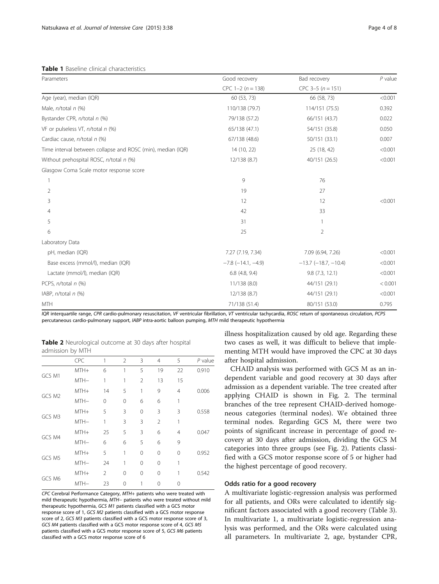<span id="page-3-0"></span>**Table 1** Baseline clinical characteristics

| Parameters                                                  | Good recovery               | Bad recovery                  | $P$ value |
|-------------------------------------------------------------|-----------------------------|-------------------------------|-----------|
|                                                             | $CPC 1-2 (n = 138)$         | $CPC$ 3-5 ( $n = 151$ )       |           |
| Age (year), median (IQR)                                    | 60 (53, 73)                 | 66 (58, 73)                   | < 0.001   |
| Male, $n$ /total $n$ (%)                                    | 110/138 (79.7)              | 114/151 (75.5)                | 0.392     |
| Bystander CPR, n/total n (%)                                | 79/138 (57.2)               | 66/151 (43.7)                 | 0.022     |
| VF or pulseless VT, $n$ /total $n$ (%)                      | 65/138 (47.1)               | 54/151 (35.8)                 | 0.050     |
| Cardiac cause, n/total n (%)                                | 67/138 (48.6)               | 50/151 (33.1)                 | 0.007     |
| Time interval between collapse and ROSC (min), median (IQR) | 14 (10, 22)                 | 25 (18, 42)                   | < 0.001   |
| Without prehospital ROSC, n/total n (%)                     | 12/138 (8.7)                | 40/151 (26.5)                 | < 0.001   |
| Glasgow Coma Scale motor response score                     |                             |                               |           |
|                                                             | 9                           | 76                            |           |
| 2                                                           | 19                          | 27                            |           |
| 3                                                           | 12                          | 12                            | < 0.001   |
| 4                                                           | 42                          | 33                            |           |
| 5                                                           | 31                          |                               |           |
| 6                                                           | 25                          | $\overline{2}$                |           |
| Laboratory Data                                             |                             |                               |           |
| pH, median (IQR)                                            | 7.27 (7.19, 7.34)           | 7.09 (6.94, 7.26)             | < 0.001   |
| Base excess (mmol/l), median (IQR)                          | $-7.8$ ( $-14.1$ , $-4.9$ ) | $-13.7$ ( $-18.7$ , $-10.4$ ) | < 0.001   |
| Lactate (mmol/l), median (IQR)                              | $6.8$ (4.8, 9.4)            | 9.8(7.3, 12.1)                | < 0.001   |
| PCPS, n/total n (%)                                         | 11/138 (8.0)                | 44/151 (29.1)                 | < 0.001   |
| IABP, n/total n (%)                                         | 12/138 (8.7)                | 44/151 (29.1)                 | < 0.001   |
| <b>MTH</b>                                                  | 71/138 (51.4)               | 80/151 (53.0)                 | 0.795     |

IQR interquartile range, CPR cardio-pulmonary resuscitation, VF ventricular fibrillation, VT ventricular tachycardia, ROSC return of spontaneous circulation, PCPS percutaneous cardio-pulmonary support, IABP intra-aortic balloon pumping, MTH mild therapeutic hypothermia

Table 2 Neurological outcome at 30 days after hospital admission by MTH

|        | <b>CPC</b> | 1        | 2        | 3              | $\overline{4}$ | 5        | P value |
|--------|------------|----------|----------|----------------|----------------|----------|---------|
| GCS M1 | MTH+       | 6        | 1        | 5              | 19             | 22       | 0.910   |
|        | MTH-       | 1        | 1        | $\overline{2}$ | 13             | 15       |         |
| GCS M2 | MTH+       | 14       | 5        | 1              | 9              | 4        | 0.006   |
|        | MTH-       | $\Omega$ | $\Omega$ | 6              | 6              | 1        |         |
| GCS M3 | MTH+       | 5        | 3        | 0              | 3              | 3        | 0.558   |
|        | MTH-       | 1        | 3        | 3              | $\overline{2}$ | 1        |         |
|        | MTH+       | 25       | 5        | 3              | 6              | 4        | 0.047   |
| GCS M4 | MTH-       | 6        | 6        | 5              | 6              | 9        |         |
| GCS M5 | MTH+       | 5        | 1        | $\Omega$       | $\Omega$       | $\Omega$ | 0.952   |
|        | MTH-       | 24       | 1        | $\Omega$       | $\Omega$       | 1        |         |
| GCS M6 | MTH+       | 2        | 0        | $\Omega$       | $\Omega$       | 1        | 0.542   |
|        | MTH-       | 23       | 0        | 1              | Λ              | 0        |         |

CPC Cerebral Performance Category, MTH+ patients who were treated with mild therapeutic hypothermia, MTH− patients who were treated without mild therapeutic hypothermia, GCS M1 patients classified with a GCS motor response score of 1, GCS M2 patients classified with a GCS motor response score of 2, GCS M3 patients classified with a GCS motor response score of 3, GCS M4 patients classified with a GCS motor response score of 4, GCS M5 patients classified with a GCS motor response score of 5, GCS M6 patients classified with a GCS motor response score of 6

illness hospitalization caused by old age. Regarding these two cases as well, it was difficult to believe that implementing MTH would have improved the CPC at 30 days after hospital admission.

CHAID analysis was performed with GCS M as an independent variable and good recovery at 30 days after admission as a dependent variable. The tree created after applying CHAID is shown in Fig. [2](#page-4-0). The terminal branches of the tree represent CHAID-derived homogeneous categories (terminal nodes). We obtained three terminal nodes. Regarding GCS M, there were two points of significant increase in percentage of good recovery at 30 days after admission, dividing the GCS M categories into three groups (see Fig. [2](#page-4-0)). Patients classified with a GCS motor response score of 5 or higher had the highest percentage of good recovery.

## Odds ratio for a good recovery

A multivariate logistic-regression analysis was performed for all patients, and ORs were calculated to identify significant factors associated with a good recovery (Table [3](#page-4-0)). In multivariate 1, a multivariate logistic-regression analysis was performed, and the ORs were calculated using all parameters. In multivariate 2, age, bystander CPR,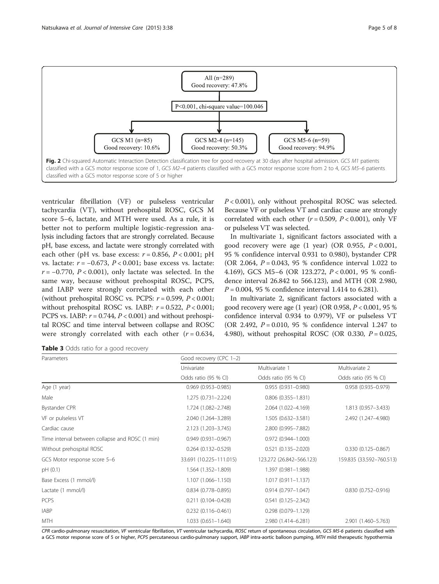<span id="page-4-0"></span>

ventricular fibrillation (VF) or pulseless ventricular tachycardia (VT), without prehospital ROSC, GCS M score 5–6, lactate, and MTH were used. As a rule, it is better not to perform multiple logistic-regression analysis including factors that are strongly correlated. Because pH, base excess, and lactate were strongly correlated with each other (pH vs. base excess:  $r = 0.856$ ,  $P < 0.001$ ; pH vs. lactate:  $r = -0.673$ ,  $P < 0.001$ ; base excess vs. lactate:  $r = -0.770$ ,  $P < 0.001$ ), only lactate was selected. In the same way, because without prehospital ROSC, PCPS, and IABP were strongly correlated with each other (without prehospital ROSC vs. PCPS:  $r = 0.599$ ,  $P < 0.001$ ; without prehospital ROSC vs. IABP:  $r = 0.522$ ,  $P < 0.001$ ; PCPS vs. IABP:  $r = 0.744$ ,  $P < 0.001$ ) and without prehospital ROSC and time interval between collapse and ROSC were strongly correlated with each other  $(r = 0.634,$   $P < 0.001$ ), only without prehospital ROSC was selected. Because VF or pulseless VT and cardiac cause are strongly correlated with each other ( $r = 0.509$ ,  $P < 0.001$ ), only VF or pulseless VT was selected.

In multivariate 1, significant factors associated with a good recovery were age  $(1 \text{ year})$   $(OR \text{ 0.955}, P < 0.001, P < 0.001)$ 95 % confidence interval 0.931 to 0.980), bystander CPR (OR 2.064,  $P = 0.043$ , 95 % confidence interval 1.022 to 4.169), GCS M5–6 (OR 123.272, P < 0.001, 95 % confidence interval 26.842 to 566.123), and MTH (OR 2.980,  $P = 0.004$ , 95 % confidence interval 1.414 to 6.281).

In multivariate 2, significant factors associated with a good recovery were age  $(1 \text{ year})$   $(OR\ 0.958, P < 0.001, 95\%)$ confidence interval 0.934 to 0.979), VF or pulseless VT (OR 2.492,  $P = 0.010$ , 95 % confidence interval 1.247 to 4.980), without prehospital ROSC (OR 0.330,  $P = 0.025$ ,

Table 3 Odds ratio for a good recovery

| Parameters                                      | Good recovery (CPC 1-2)   |                           |                          |  |
|-------------------------------------------------|---------------------------|---------------------------|--------------------------|--|
|                                                 | Univariate                | Multivariate 1            | Multivariate 2           |  |
|                                                 | Odds ratio (95 % CI)      | Odds ratio (95 % CI)      | Odds ratio (95 % CI)     |  |
| Age (1 year)                                    | $0.969(0.953 - 0.985)$    | $0.955(0.931 - 0.980)$    | $0.958(0.935 - 0.979)$   |  |
| Male                                            | 1.275 (0.731-2.224)       | $0.806$ $(0.355 - 1.831)$ |                          |  |
| Bystander CPR                                   | 1.724 (1.082-2.748)       | 2.064 (1.022-4.169)       | 1.813 (0.957-3.433)      |  |
| VF or pulseless VT                              | 2.040 (1.264-3.289)       | 1.505 (0.632-3.581)       | 2.492 (1.247-4.980)      |  |
| Cardiac cause                                   | 2.123 (1.203-3.745)       | 2.800 (0.995-7.882)       |                          |  |
| Time interval between collapse and ROSC (1 min) | $0.949(0.931 - 0.967)$    | $0.972(0.944 - 1.000)$    |                          |  |
| Without prehospital ROSC                        | $0.264$ $(0.132 - 0.529)$ | $0.521(0.135 - 2.020)$    | $0.330(0.125 - 0.867)$   |  |
| GCS Motor response score 5-6                    | 33.691 (10.225-111.015)   | 123.272 (26.842-566.123)  | 159.835 (33.592-760.513) |  |
| pH (0.1)                                        | 1.564 (1.352-1.809)       | 1.397 (0.981-1.988)       |                          |  |
| Base Excess (1 mmol/l)                          | 1.107 (1.066-1.150)       | $1.017(0.911 - 1.137)$    |                          |  |
| Lactate (1 mmol/l)                              | $0.834(0.778 - 0.895)$    | $0.914(0.797 - 1.047)$    | $0.830(0.752 - 0.916)$   |  |
| <b>PCPS</b>                                     | $0.211(0.104 - 0.428)$    | $0.541(0.125 - 2.342)$    |                          |  |
| <b>IABP</b>                                     | $0.232(0.116 - 0.461)$    | $0.298(0.079 - 1.129)$    |                          |  |
| <b>MTH</b>                                      | $1.033(0.651 - 1.640)$    | 2.980 (1.414-6.281)       | 2.901 (1.460-5.763)      |  |

CPR cardio-pulmonary resuscitation, VF ventricular fibrillation, VT ventricular tachycardia, ROSC return of spontaneous circulation, GCS M5-6 patients classified with a GCS motor response score of 5 or higher, PCPS percutaneous cardio-pulmonary support, IABP intra-aortic balloon pumping, MTH mild therapeutic hypothermia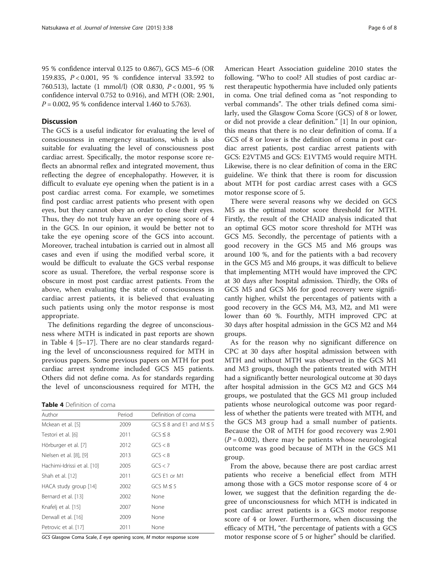95 % confidence interval 0.125 to 0.867), GCS M5–6 (OR 159.835, P < 0.001, 95 % confidence interval 33.592 to 760.513), lactate (1 mmol/l) (OR 0.830, P < 0.001, 95 % confidence interval 0.752 to 0.916), and MTH (OR: 2.901,  $P = 0.002$ , 95 % confidence interval 1.460 to 5.763).

## Discussion

The GCS is a useful indicator for evaluating the level of consciousness in emergency situations, which is also suitable for evaluating the level of consciousness post cardiac arrest. Specifically, the motor response score reflects an abnormal reflex and integrated movement, thus reflecting the degree of encephalopathy. However, it is difficult to evaluate eye opening when the patient is in a post cardiac arrest coma. For example, we sometimes find post cardiac arrest patients who present with open eyes, but they cannot obey an order to close their eyes. Thus, they do not truly have an eye opening score of 4 in the GCS. In our opinion, it would be better not to take the eye opening score of the GCS into account. Moreover, tracheal intubation is carried out in almost all cases and even if using the modified verbal score, it would be difficult to evaluate the GCS verbal response score as usual. Therefore, the verbal response score is obscure in most post cardiac arrest patients. From the above, when evaluating the state of consciousness in cardiac arrest patients, it is believed that evaluating such patients using only the motor response is most appropriate.

The definitions regarding the degree of unconsciousness where MTH is indicated in past reports are shown in Table 4 [\[5](#page-6-0)–[17\]](#page-7-0). There are no clear standards regarding the level of unconsciousness required for MTH in previous papers. Some previous papers on MTH for post cardiac arrest syndrome included GCS M5 patients. Others did not define coma. As for standards regarding the level of unconsciousness required for MTH, the

Table 4 Definition of coma

| Author                      | Period | Definition of coma                 |
|-----------------------------|--------|------------------------------------|
| Mckean et al. [5]           | 2009   | $GCS \leq 8$ and F1 and M $\leq 5$ |
| Testori et al. [6]          | 2011   | $GCS \leq 8$                       |
| Hörburger et al. [7]        | 2012   | GCS < 8                            |
| Nielsen et al. [8], [9]     | 2013   | GCS < 8                            |
| Hachimi-Idrissi et al. [10] | 2005   | GCS < 7                            |
| Shah et al. [12]            | 2011   | GCS F1 or M1                       |
| HACA study group [14]       | 2002   | $GCS M \leq 5$                     |
| Bernard et al. [13]         | 2002   | None                               |
| Knafelj et al. [15]         | 2007   | None                               |
| Derwall et al. [16]         | 2009   | None                               |
| Petrovic et al. [17]        | 2011   | None                               |

GCS Glasgow Coma Scale, E eye opening score, M motor response score

American Heart Association guideline 2010 states the following. "Who to cool? All studies of post cardiac arrest therapeutic hypothermia have included only patients in coma. One trial defined coma as "not responding to verbal commands". The other trials defined coma similarly, used the Glasgow Coma Score (GCS) of 8 or lower, or did not provide a clear definition." [[1\]](#page-6-0) In our opinion, this means that there is no clear definition of coma. If a GCS of 8 or lower is the definition of coma in post cardiac arrest patients, post cardiac arrest patients with GCS: E2VTM5 and GCS: E1VTM5 would require MTH. Likewise, there is no clear definition of coma in the ERC guideline. We think that there is room for discussion about MTH for post cardiac arrest cases with a GCS motor response score of 5.

There were several reasons why we decided on GCS M5 as the optimal motor score threshold for MTH. Firstly, the result of the CHAID analysis indicated that an optimal GCS motor score threshold for MTH was GCS M5. Secondly, the percentage of patients with a good recovery in the GCS M5 and M6 groups was around 100 %, and for the patients with a bad recovery in the GCS M5 and M6 groups, it was difficult to believe that implementing MTH would have improved the CPC at 30 days after hospital admission. Thirdly, the ORs of GCS M5 and GCS M6 for good recovery were significantly higher, whilst the percentages of patients with a good recovery in the GCS M4, M3, M2, and M1 were lower than 60 %. Fourthly, MTH improved CPC at 30 days after hospital admission in the GCS M2 and M4 groups.

As for the reason why no significant difference on CPC at 30 days after hospital admission between with MTH and without MTH was observed in the GCS M1 and M3 groups, though the patients treated with MTH had a significantly better neurological outcome at 30 days after hospital admission in the GCS M2 and GCS M4 groups, we postulated that the GCS M1 group included patients whose neurological outcome was poor regardless of whether the patients were treated with MTH, and the GCS M3 group had a small number of patients. Because the OR of MTH for good recovery was 2.901  $(P = 0.002)$ , there may be patients whose neurological outcome was good because of MTH in the GCS M1 group.

From the above, because there are post cardiac arrest patients who receive a beneficial effect from MTH among those with a GCS motor response score of 4 or lower, we suggest that the definition regarding the degree of unconsciousness for which MTH is indicated in post cardiac arrest patients is a GCS motor response score of 4 or lower. Furthermore, when discussing the efficacy of MTH, "the percentage of patients with a GCS motor response score of 5 or higher" should be clarified.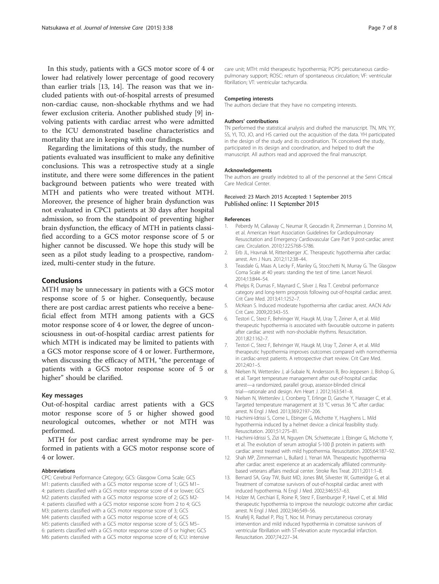<span id="page-6-0"></span>In this study, patients with a GCS motor score of 4 or lower had relatively lower percentage of good recovery than earlier trials [13, 14]. The reason was that we included patients with out-of-hospital arrests of presumed non-cardiac cause, non-shockable rhythms and we had fewer exclusion criteria. Another published study [9] involving patients with cardiac arrest who were admitted to the ICU demonstrated baseline characteristics and mortality that are in keeping with our findings.

Regarding the limitations of this study, the number of patients evaluated was insufficient to make any definitive conclusions. This was a retrospective study at a single institute, and there were some differences in the patient background between patients who were treated with MTH and patients who were treated without MTH. Moreover, the presence of higher brain dysfunction was not evaluated in CPC1 patients at 30 days after hospital admission, so from the standpoint of preventing higher brain dysfunction, the efficacy of MTH in patients classified according to a GCS motor response score of 5 or higher cannot be discussed. We hope this study will be seen as a pilot study leading to a prospective, randomized, multi-center study in the future.

## Conclusions

MTH may be unnecessary in patients with a GCS motor response score of 5 or higher. Consequently, because there are post cardiac arrest patients who receive a beneficial effect from MTH among patients with a GCS motor response score of 4 or lower, the degree of unconsciousness in out-of-hospital cardiac arrest patients for which MTH is indicated may be limited to patients with a GCS motor response score of 4 or lower. Furthermore, when discussing the efficacy of MTH, "the percentage of patients with a GCS motor response score of 5 or higher" should be clarified.

#### Key messages

Out-of-hospital cardiac arrest patients with a GCS motor response score of 5 or higher showed good neurological outcomes, whether or not MTH was performed.

MTH for post cardiac arrest syndrome may be performed in patients with a GCS motor response score of 4 or lower.

#### Abbreviations

CPC: Cerebral Performance Category; GCS: Glasgow Coma Scale; GCS M1: patients classified with a GCS motor response score of 1; GCS M1– 4: patients classified with a GCS motor response score of 4 or lower; GCS M2: patients classified with a GCS motor response score of 2; GCS M2- 4: patients classified with a GCS motor response score from 2 to 4; GCS M3: patients classified with a GCS motor response score of 3; GCS M4: patients classified with a GCS motor response score of 4; GCS M5: patients classified with a GCS motor response score of 5; GCS M5– 6: patients classified with a GCS motor response score of 5 or higher; GCS M6: patients classified with a GCS motor response score of 6; ICU: intensive

care unit; MTH: mild therapeutic hypothermia; PCPS: percutaneous cardiopulmonary support; ROSC: return of spontaneous circulation; VF: ventricular fibrillation; VT: ventricular tachycardia.

#### Competing interests

The authors declare that they have no competing interests.

#### Authors' contributions

TN performed the statistical analysis and drafted the manuscript. TN, MN, YY, SS, YI, TO, JO, and HS carried out the acquisition of the data. YH participated in the design of the study and its coordination. TK conceived the study, participated in its design and coordination, and helped to draft the manuscript. All authors read and approved the final manuscript.

#### Acknowledgements

The authors are greatly indebted to all of the personnel at the Senri Critical Care Medical Center.

#### Received: 23 March 2015 Accepted: 1 September 2015 Published online: 11 September 2015

#### References

- 1. Peberdy M, Callaway C, Neumar R, Geocadin R, Zimmerman J, Donnino M, et al. American Heart Association Guidelines for Cardiopulmonary Resuscitation and Emergency Cardiovascular Care Part 9 post-cardiac arrest care. Circulation. 2010;122:S768–S786.
- 2. Erb JL, Hravnak M, Rittenberger JC. Therapeutic hypothermia after cardiac arrest. Am J Nurs. 2012;112:38–44.
- 3. Teasdale G, Maas A, Lecky F, Manley G, Stocchetti N, Murray G. The Glasgow Coma Scale at 40 years: standing the test of time. Lancet Neurol. 2014;13:844–54.
- 4. Phelps R, Dumas F, Maynard C, Silver J, Rea T. Cerebral performance category and long-term prognosis following out-of-hospital cardiac arrest. Crit Care Med. 2013;41:1252–7.
- 5. McKean S. Induced moderate hypothermia after cardiac arrest. AACN Adv Crit Care. 2009;20:343–55.
- 6. Testori C, Sterz F, Behringer W, Haugk M, Uray T, Zeiner A, et al. Mild therapeutic hypothermia is associated with favourable outcome in patients after cardiac arrest with non-shockable rhythms. Resuscitation. 2011;82:1162–7.
- 7. Testori C, Sterz F, Behringer W, Haugk M, Uray T, Zeiner A, et al. Mild therapeutic hypothermia improves outcomes compared with normothermia in cardiac-arrest patients. A retrospective chart review. Crit Care Med. 2012;40:1–5.
- 8. Nielsen N, Wetterslev J, al-Subaie N, Andersson B, Bro-Jeppesen J, Bishop G, et al. Target temperature management after out-of-hospital cardiac arrest—a randomized, parallel group, assessor-blinded clinical trial—rationale and design. Am Heart J. 2012;163:541–8.
- 9. Nielsen N, Wetterslev J, Cronberg T, Erlinge D, Gasche Y, Hassager C, et al. Targeted temperature management at 33 °C versus 36 °C after cardiac arrest. N Engl J Med. 2013;369:2197–206.
- 10. Hachimi-Idrissi S, Corne L, Ebinger G, Michotte Y, Huyghens L. Mild hypothermia induced by a helmet device: a clinical feasibility study. Resuscitation. 2001;51:275–81.
- 11. Hachimi-Idrissi S, Zizi M, Nguyen DN, Schiettecate J, Ebinger G, Michotte Y, et al. The evolution of serum astroglial S-100 β protein in patients with cardiac arrest treated with mild hypothermia. Resuscitation. 2005;64:187–92.
- 12. Shah MP, Zimmerman L, Bullard J, Yenari MA. Therapeutic hypothermia after cardiac arrest: experience at an academically affiliated communitybased veterans affairs medical center. Stroke Res Treat. 2011;2011:1–8.
- 13. Bernard SA, Gray TW, Buist MD, Jones BM, Silvester W, Gutteridge G, et al. Treatment of comatose survivors of out-of-hospital cardiac arrest with induced hypothermia. N Engl J Med. 2002;346:557–63.
- 14. Holzer M, Cerchiari E, Roine R, Sterz F, Eisenburger P, Havel C, et al. Mild therapeutic hypothermia to improve the neurologic outcome after cardiac arrest. N Engl J Med. 2002;346:549–56.
- 15. Knafelj R, Radsel P, Ploj T, Noc M. Primary percutaneous coronary intervention and mild induced hypothermia in comatose survivors of ventricular fibrillation with ST-elevation acute myocardial infarction. Resuscitation. 2007;74:227–34.